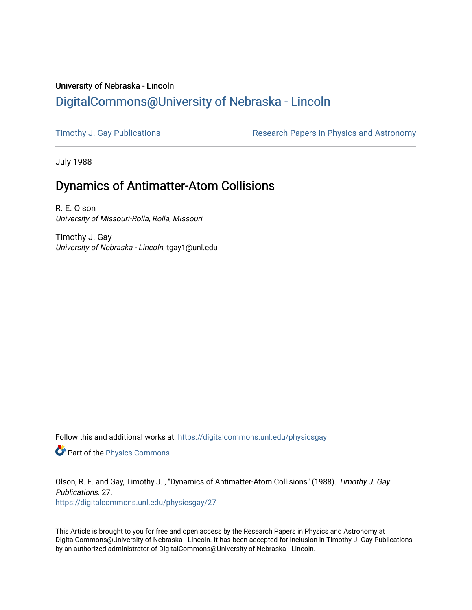## University of Nebraska - Lincoln [DigitalCommons@University of Nebraska - Lincoln](https://digitalcommons.unl.edu/)

[Timothy J. Gay Publications](https://digitalcommons.unl.edu/physicsgay) **Research Papers in Physics and Astronomy** 

July 1988

## Dynamics of Antimatter-Atom Collisions

R. E. Olson University of Missouri-Rolla, Rolla, Missouri

Timothy J. Gay University of Nebraska - Lincoln, tgay1@unl.edu

Follow this and additional works at: [https://digitalcommons.unl.edu/physicsgay](https://digitalcommons.unl.edu/physicsgay?utm_source=digitalcommons.unl.edu%2Fphysicsgay%2F27&utm_medium=PDF&utm_campaign=PDFCoverPages)

Part of the [Physics Commons](http://network.bepress.com/hgg/discipline/193?utm_source=digitalcommons.unl.edu%2Fphysicsgay%2F27&utm_medium=PDF&utm_campaign=PDFCoverPages)

Olson, R. E. and Gay, Timothy J. , "Dynamics of Antimatter-Atom Collisions" (1988). Timothy J. Gay Publications. 27.

[https://digitalcommons.unl.edu/physicsgay/27](https://digitalcommons.unl.edu/physicsgay/27?utm_source=digitalcommons.unl.edu%2Fphysicsgay%2F27&utm_medium=PDF&utm_campaign=PDFCoverPages) 

This Article is brought to you for free and open access by the Research Papers in Physics and Astronomy at DigitalCommons@University of Nebraska - Lincoln. It has been accepted for inclusion in Timothy J. Gay Publications by an authorized administrator of DigitalCommons@University of Nebraska - Lincoln.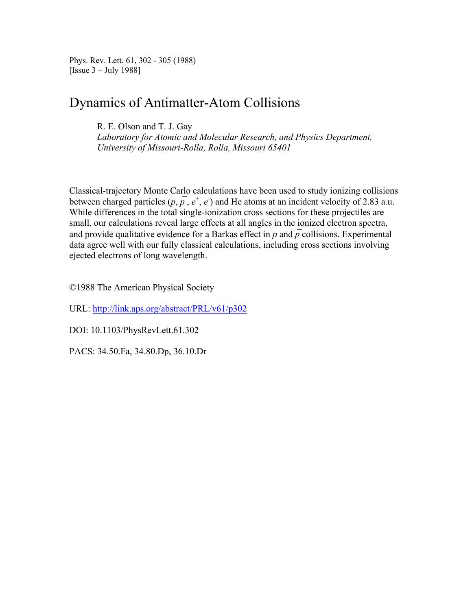Phys. Rev. Lett. 61, 302 - 305 (1988) [Issue 3 – July 1988]

## Dynamics of Antimatter-Atom Collisions

R. E. Olson and T. J. Gay

*Laboratory for Atomic and Molecular Research, and Physics Department, University of Missouri-Rolla, Rolla, Missouri 65401*

Classical-trajectory Monte Carlo calculations have been used to study ionizing collisions between charged particles  $(p, p, e^+, e^-)$  and He atoms at an incident velocity of 2.83 a.u. While differences in the total single-ionization cross sections for these projectiles are small, our calculations reveal large effects at all angles in the ionized electron spectra, and provide qualitative evidence for a Barkas effect in  $p$  and  $\overline{p}$  collisions. Experimental data agree well with our fully classical calculations, including cross sections involving ejected electrons of long wavelength.

©1988 The American Physical Society

URL: http://link.aps.org/abstract/PRL/v61/p302

DOI: 10.1103/PhysRevLett.61.302

PACS: 34.50.Fa, 34.80.Dp, 36.10.Dr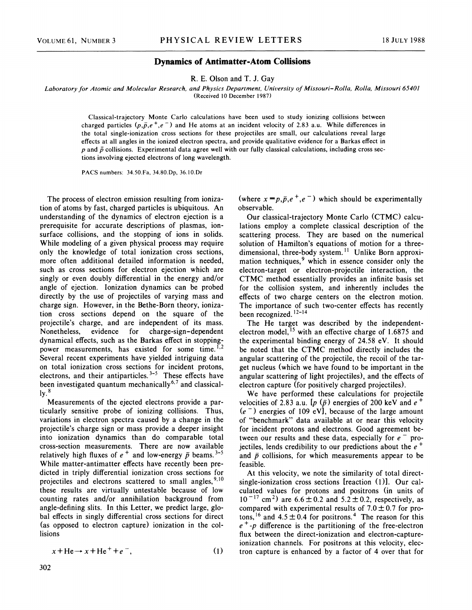## **Dynamics of Antimatter-Atom Collisions**

R. E. Olson and T. J. Gay

Laboratory for Atomic and Molecular Research, and Physics Department, University of Missouri-Rolla, Rolla, Missouri 65401 (Received 10 December 1987)

Classical-trajectory Monte Carlo calculations have been used to study ionizing collisions between charged particles  $(p,\bar{p},e^+,e^-)$  and He atoms at an incident velocity of 2.83 a.u. While differences in the total single-ionization cross sections for these projectiles are small, our calculations reveal large effects at all angles in the ionized electron spectra, and provide qualitative evidence for a Barkas effect in  $p$  and  $\bar{p}$  collisions. Experimental data agree well with our fully classical calculations, including cross sections involving ejected electrons of long wavelength.

PACS numbers: 34.50.Fa, 34.80.Dp, 36.10.D:

The process of electron emission resulting from ionization of atoms by fast, charged particles is ubiquitous. An understanding of the dynamics of electron ejection is a prerequisite for accurate descriptions of plasmas, ionsurface collisions, and the stopping of ions in solids. While modeling of a given physical process may require only the knowledge of total ionization cross sections, more often additional detailed information is needed, such as cross sections for electron ejection which are singly or even doubly differential in the energy and/or angle of ejection. Ionization dynamics can be probed directly by the use of projectiles of varying mass and charge sign. However, in the Bethe-Born theory, ionization cross sections depend on the square of the projectile's charge, and are independent of its mass. Nonetheless, evidence for charge-sign-dependent dynamical effects, such as the Barkas effect in stoppingpower measurements, has existed for some time.<sup> $I,2$ </sup> Several recent experiments have yielded intriguing data on total ionization cross sections for incident protons, electrons, and their antiparticles. **3-5** These effects have been investigated quantum mechanically<sup>6,7</sup> and classical- $\mathrm{ly.}^8$ 

Measurements of the ejected electrons provide a particularly sensitive probe of ionizing collisions. Thus, variations in electron spectra caused by a change in the projectile's charge sign or mass provide a deeper insight into ionization dynamics than do comparable total cross-section measurements. There are now available relatively high fluxes of *e* + and low-energy *p* beams. *3-5*  While matter-antimatter effects have recently been predicted in triply differential ionization cross sections for projectiles and electrons scattered to small angles,  $9,10$ these results are virtually untestable because of low counting rates and/or annihilation background from angle-defining slits. In this Letter, we predict large, global effects in singly differential cross sections for direct (as opposed to electron capture) ionization in the collisions

$$
x + He \rightarrow x + He^{+} + e^{-}, \qquad (1)
$$

(where  $x = p, \bar{p}, e^+, e^-$ ) which should be experimentally observable.

Our classical-trajectory Monte Carlo (CTMC) calculations employ a complete classical description of the scattering process. They are based on the numerical solution of Hamilton's equations of motion for a threedimensional, three-body system.<sup>11</sup> Unlike Born approximation techniques,<sup>9</sup> which in essence consider only the electron-target or electron-projectile interaction, the CTMC method essentially provides an infinite basis set for the collision system, and inherently includes the effects of two charge centers on the electron motion. The importance of such two-center effects has recently been recognized.  $12-14$ 

The He target was described by the independentelectron model, <sup>15</sup> with an effective charge of 1.6875 and the experimental binding energy of 24.58 eV. It should be noted that the CTMC method directly includes the angular scattering of the projectile, the recoil of the target nucleus (which we have found to be important in the angular scattering of light projectiles), and the effects of electron capture (for positively charged projectiles).

We have performed these calculations for projectile velocities of 2.83 a.u.  $[p(\bar{p})]$  energies of 200 keV and  $e^+$  $(e^-)$  energies of 109 eV], because of the large amount of "benchmark" data available at or near this velocity for incident protons and electrons. Good agreement between our results and these data, especially for  $e^-$  projectiles, lends credibility to our predictions about the *e* + and  $\bar{p}$  collisions, for which measurements appear to be feasible.

At this velocity, we note the similarity of total directsingle-ionization cross sections [reaction (1)]. Our calculated values for protons and positrons (in units of  $10^{-17}$  cm<sup>2</sup>) are  $6.6 \pm 0.2$  and  $5.2 \pm 0.2$ , respectively, as compared with experimental results of  $7.0 \pm 0.7$  for protons,<sup>16</sup> and  $4.5 \pm 0.4$  for positrons.<sup>4</sup> The reason for this *e+-p* difference is the partitioning of the free-electron flux between the direct-ionization and electron-captureionization channels. For positrons at this velocity, electron capture is enhanced by a factor of 4 over that for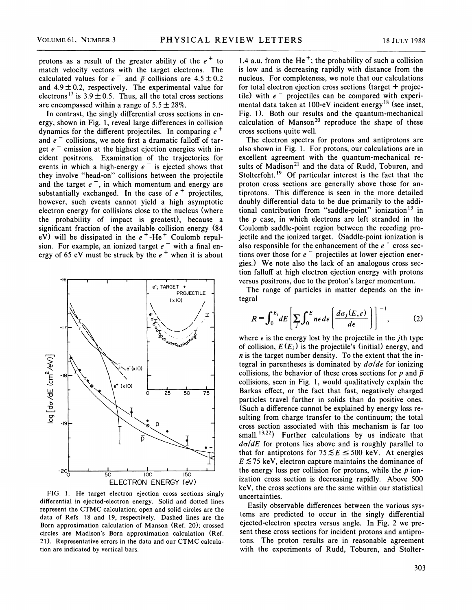protons as a result of the greater ability of the  $e^+$  to match velocity vectors with the target electrons. The calculated values for  $e^-$  and  $\bar{p}$  collisions are  $4.5 \pm 0.2$ and  $4.9 \pm 0.2$ , respectively. The experimental value for electrons<sup>17</sup> is 3.9  $\pm$  0.5. Thus, all the total cross sections are encompassed within a range of  $5.5 \pm 28\%$ .

In contrast, the singly differential cross sections in energy, shown in Fig. 1, reveal large differences in collision dynamics for the different projectiles. In comparing **e** + and  $e^-$  collisions, we note first a dramatic falloff of tar-<br>get  $e^-$  emission at the highest ejection energies with incident positrons. Examination of the trajectories for events in which a high-energy  $e^-$  is ejected shows that they involve "head-on" collisions between the projectile and the target  $e^-$ , in which momentum and energy are substantially exchanged. In the case of  $e^+$  projectiles, however, such events cannot yield a high asymptotic electron energy for collisions close to the nucleus (where the probability of impact is greatest), because a significant fraction of the available collision energy (84 eV) will be dissipated in the  $e^+$ -He<sup>+</sup> Coulomb repulsion. For example, an ionized target  $e^-$  with a final energy of 65 eV must be struck by the  $e^+$  when it is about



FIG. 1. He target electron ejection cross sections singly differential in ejected-electron energy. Solid and dotted lines represent the CTMC calculation; open and solid circles are the data of Refs. 18 and 19, respectively. Dashed lines are the Born approximation calculation of Manson (Ref. 20); crossed circles are Madison's Born approximation calculation (Ref. 21). Representative errors in the data and our CTMC calculation are indicated by vertical bars.

1.4 a.u. from the He<sup>+</sup>; the probability of such a collision is low and is decreasing rapidly with distance from the nucleus. For completeness, we note that our calculations for total electron ejection cross sections (target  $+$  projectile) with  $e^-$  projectiles can be compared with experimental data taken at 100-eV incident energy<sup>18</sup> (see inset, Fig. 1). Both our results and the quantum-mechanical calculation of Manson<sup>20</sup> reproduce the shape of these cross sections quite well.

The electron spectra for protons and antiprotons are also shown in Fig. 1. For protons, our calculations are in excellent agreement with the quantum-mechanical results of Madison<sup>21</sup> and the data of Rudd, Toburen, and Stolterfoht.<sup>19</sup> Of particular interest is the fact that the proton cross sections are generally above those for antiprotons. This difference is seen in the more detailed doubly differential data to be due primarily to the additional contribution from "saddle-point" ionization<sup>13</sup> in the  $p$  case, in which electrons are left stranded in the Coulomb saddle-point region between the receding projectile and the ionized target. (Saddle-point ionization is also responsible for the enhancement of the  $e^+$  cross sections over those for  $e^-$  projectiles at lower ejection energies.) We note also the lack of an analogous cross section falloff at high electron ejection energy with protons versus positrons, due to the proton's larger momentum.

The range of particles in matter depends on the integral

$$
R = \int_0^{E_i} dE \left[ \sum_j \int_0^E n \epsilon \, d\epsilon \left( \frac{d\sigma_j(E,\epsilon)}{d\epsilon} \right) \right]^{-1}, \tag{2}
$$

where  $\epsilon$  is the energy lost by the projectile in the *j*th type of collision,  $E(E_i)$  is the projectile's (initial) energy, and **n** is the target number density. To the extent that the integral in parentheses is dominated by  $d\sigma/d\epsilon$  for ionizing collisions, the behavior of these cross sections for  $p$  and  $\bar{p}$ collisions, seen in Fig. 1, would qualitatively explain the Barkas effect, or the fact that fast, negatively charged particles travel farther in solids than do positive ones. (Such a difference cannot be explained by energy loss resulting from charge transfer to the continuum; the total cross section associated with this mechanism is far too small.<sup>13,22</sup>) Further calculations by us indicate that  $d\sigma/dE$  for protons lies above and is roughly parallel to that for antiprotons for  $75 \le E \le 500$  keV. At energies  $E \lesssim 75$  keV, electron capture maintains the dominance of the energy loss per collision for protons, while the  $\bar{p}$  ionization cross section is decreasing rapidly. Above 500 keV, the cross sections are the same within our statistical uncertainties.

Easily observable differences between the various systems are predicted to occur in the singly differential ejected-electron spectra versus angle. In Fig. 2 we present these cross sections for incident protons and antiprotons. The proton results are in reasonable agreement with the experiments of Rudd, Toburen, and Stolter-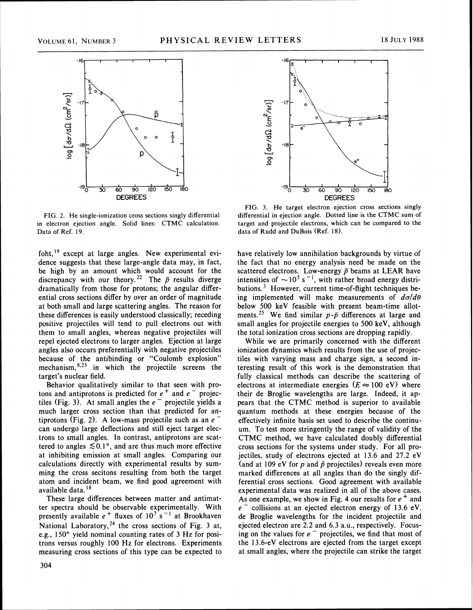

FIG. 2. He single-ionization cross sections singly differential in electron ejection angle. Solid lines: CTMC calculation. Data of Ref. 19.

 $f$ oht,<sup>19</sup> except at large angles. New experimental evidence suggests that these large-angle data may, in fact, be high by an amount which would account for the discrepancy with our theory.<sup>22</sup> The  $\bar{p}$  results diverge dramatically from those for protons; the angular differential cross sections differ by over an order of magnitude at both small and large scattering angles. The reason for these differences is easily understood classically; receding positive projectiles will tend to pull electrons out with them to small angles, whereas negative projectiles will repel ejected electrons to larger angles. Ejection at large angles also occurs preferentially with negative projectiles because of the antibinding or "Coulomb explosion" mechanism, $^{8,23}$  in which the projectile screens the target's nuclear field.

Behavior qualitatively similar to that seen with protons and antiprotons is predicted for  $e^+$  and  $e^-$  projectiles (Fig. 3). At small angles the  $e^-$  projectile yields a much larger cross section than that predicted for an-<br>tiprotons (Fig. 2). A low-mass projectile such as an  $e^$ can undergo large deflections and still eject target electrons to small angles. In contrast, antiprotons are scattered to angles  $\leq 0.1^{\circ}$ , and are thus much more effective at inhibiting emission at small angles. Comparing our calculations directly with experimental results by summing the cross secitons resulting from both the target atom and incident beam, we find good agreement with available data.<sup>18</sup>

These large differences between matter and antimatter spectra should be observable experimentally. With presently available  $e^+$  fluxes of  $10^7$  s<sup>-1</sup> at Brookhaven National Laboratory,<sup>24</sup> the cross sections of Fig. 3 at, e.g., 150' yield nominal counting rates of 3 Hz for positrons versus roughly 100 Hz for electrons. Experiments measuring cross sections of this type can be expected to



FIG. **3.** He target electron ejection cross sections singly differential in ejection angle. Dotted line is the CTMC sum of target and projectile electrons, which can be compared to the data of Rudd and DuBois (Ref. 18).

have relatively low annihilation backgrounds by virtue of the fact that no energy analysis need be made on the scattered electrons. Low-energy  $\bar{p}$  beams at LEAR have intensities of  $\sim 10^5$  s<sup>-1</sup>, with rather broad energy distributions. $3$  However, current time-of-flight techniques being implemented will make measurements of  $d\sigma/d\theta$ below 500 keV feasible with present beam-time allotments.<sup>25</sup> We find similar  $p - \bar{p}$  differences at large and small angles for projectile energies to 500 keV, although the total ionization cross sections are dropping rapidly.

While we are primarily concerned with the different ionization dynamics which results from the use of projectiles with varying mass and charge sign, a second interesting result of this work is the demonstration that fully classical methods can describe the scattering of electrons at intermediate energies  $(E \approx 100 \text{ eV})$  where their de Broglie wavelengths are large. Indeed, it appears that the CTMC method is superior to available quantum methods at these energies because of the effectively infinite basis set used to describe the continuum. To test more stringently the range of validity of the CTMC method, we have calculated doubly differential cross sections for the systems under study. For all projectiles, study of electrons ejected at 13.6 and 27.2 eV (and at 109 eV for  $p$  and  $\bar{p}$  projectiles) reveals even more marked differences at all angles than do the singly differential cross sections. Good agreement with available experimental data was realized in all of the above cases. As one example, we show in Fig. 4 our results for  $e^+$  and  $e^-$  collisions at an ejected electron energy of 13.6 eV. de Broglie wavelengths for the incident projectile and ejected electron are 2.2 and 6.3 a.u., respectively. Focusing on the values for  $e^-$  projectiles, we find that most of the 13.6-eV electrons are ejected from the target except at small angles, where the projectile can strike the target